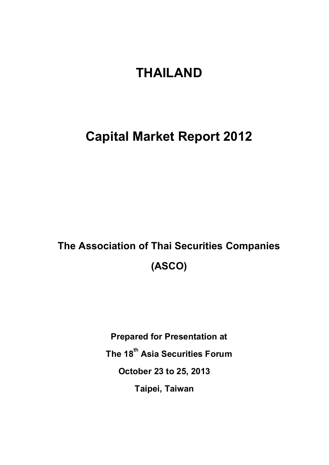# **THAILAND**

# **Capital Market Report 2012**

# **The Association of Thai Securities Companies (ASCO)**

**Prepared for Presentation at The 18 th Asia Securities Forum October 23 to 25, 2013 Taipei, Taiwan**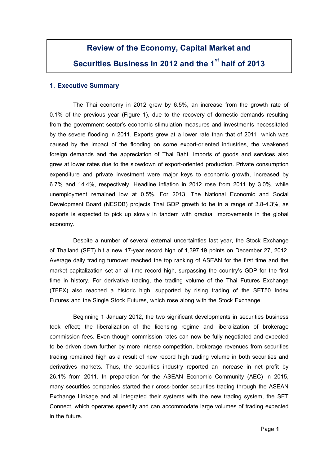# **Review of the Economy, Capital Market and Securities Business in 2012 and the 1sthalf of 2013**

### **1. Executive Summary**

The Thai economy in 2012 grew by 6.5%, an increase from the growth rate of 0.1% of the previous year (Figure 1), due to the recovery of domestic demands resulting from the government sector's economic stimulation measures and investments necessitated by the severe flooding in 2011. Exports grew at a lower rate than that of 2011, which was caused by the impact of the flooding on some export-oriented industries, the weakened foreign demands and the appreciation of Thai Baht. Imports of goods and services also grew at lower rates due to the slowdown of export-oriented production. Private consumption expenditure and private investment were major keys to economic growth, increased by 6.7% and 14.4%, respectively. Headline inflation in 2012 rose from 2011 by 3.0%, while unemployment remained low at 0.5%. For 2013, The National Economic and Social Development Board (NESDB) projects Thai GDP growth to be in a range of 3.8-4.3%, as exports is expected to pick up slowly in tandem with gradual improvements in the global economy.

Despite a number of several external uncertainties last year, the Stock Exchange of Thailand (SET) hit a new 17-year record high of 1,397.19 points on December 27, 2012. Average daily trading turnover reached the top ranking of ASEAN for the first time and the market capitalization set an all-time record high, surpassing the country's GDP for the first time in history. For derivative trading, the trading volume of the Thai Futures Exchange (TFEX) also reached a historic high, supported by rising trading of the SET50 Index Futures and the Single Stock Futures, which rose along with the Stock Exchange.

Beginning 1 January 2012, the two significant developments in securities business took effect; the liberalization of the licensing regime and liberalization of brokerage commission fees. Even though commission rates can now be fully negotiated and expected to be driven down further by more intense competition, brokerage revenues from securities trading remained high as a result of new record high trading volume in both securities and derivatives markets. Thus, the securities industry reported an increase in net profit by 26.1% from 2011. In preparation for the ASEAN Economic Community (AEC) in 2015, many securities companies started their cross-border securities trading through the ASEAN Exchange Linkage and all integrated their systems with the new trading system, the SET Connect, which operates speedily and can accommodate large volumes of trading expected in the future.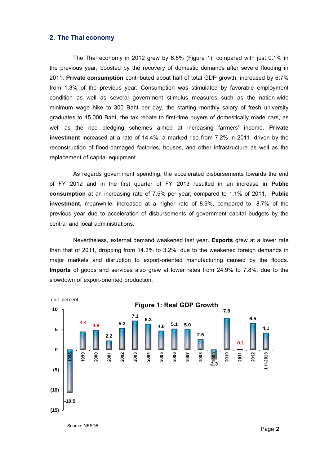#### **2. The Thai economy**

The Thai economy in 2012 grew by 6.5% (Figure 1), compared with just 0.1% in the previous year, boosted by the recovery of domestic demands after severe flooding in 2011. **Private consumption** contributed about half of total GDP growth, increased by 6.7% from 1.3% of the previous year. Consumption was stimulated by favorable employment condition as well as several government stimulus measures such as the nation-wide minimum wage hike to 300 Baht per day, the starting monthly salary of fresh university graduates to 15,000 Baht, the tax rebate to first-time buyers of domestically made cars, as well as the rice pledging schemes aimed at increasing farmers' income. **Private investment** increased at a rate of 14.4%, a marked rise from 7.2% in 2011, driven by the reconstruction of flood-damaged factories, houses, and other infrastructure as well as the replacement of capital equipment.

As regards government spending, the accelerated disbursements towards the end of FY 2012 and in the first quarter of FY 2013 resulted in an increase in **Public consumption** at an increasing rate of 7.5% per year, compared to 1.1% of 2011. **Public investment,** meanwhile, increased at a higher rate of 8.9%, compared to -8.7% of the previous year due to acceleration of disbursements of government capital budgets by the central and local administrations.

Nevertheless, external demand weakened last year. **Exports** grew at a lower rate than that of 2011, dropping from 14.3% to 3.2%, due to the weakened foreign demands in major markets and disruption to export-oriented manufacturing caused by the floods. **Imports** of goods and services also grew at lower rates from 24.9% to 7.8%, due to the slowdown of export-oriented production.



Source: NESDB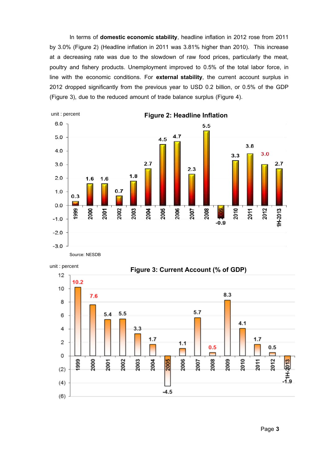In terms of **domestic economic stability**, headline inflation in 2012 rose from 2011 by 3.0% (Figure 2) (Headline inflation in 2011 was 3.81% higher than 2010). This increase at a decreasing rate was due to the slowdown of raw food prices, particularly the meat, poultry and fishery products. Unemployment improved to 0.5% of the total labor force, in line with the economic conditions. For **external stability**, the current account surplus in 2012 dropped significantly from the previous year to USD 0.2 billion, or 0.5% of the GDP (Figure 3), due to the reduced amount of trade balance surplus (Figure 4).



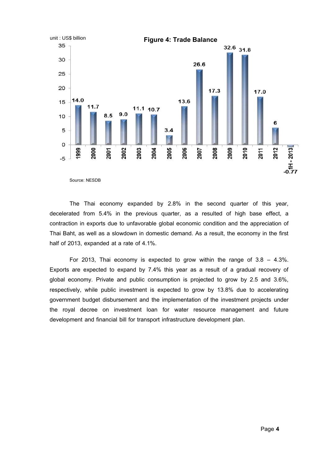

The Thai economy expanded by 2.8% in the second quarter of this year, decelerated from 5.4% in the previous quarter, as a resulted of high base effect, a contraction in exports due to unfavorable global economic condition and the appreciation of Thai Baht, as well as a slowdown in domestic demand. As a result, the economy in the first half of 2013, expanded at a rate of 4.1%.

For 2013, Thai economy is expected to grow within the range of  $3.8 - 4.3\%$ . Exports are expected to expand by 7.4% this year as a result of a gradual recovery of global economy. Private and public consumption is projected to grow by 2.5 and 3.6%, respectively, while public investment is expected to grow by 13.8% due to accelerating government budget disbursement and the implementation of the investment projects under the royal decree on investment loan for water resource management and future development and financial bill for transport infrastructure development plan.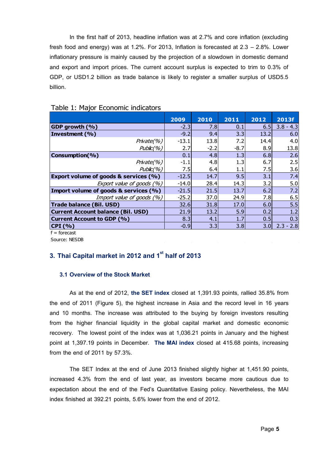In the first half of 2013, headline inflation was at 2.7% and core inflation (excluding fresh food and energy) was at 1.2%. For 2013, Inflation is forecasted at 2.3 – 2.8%. Lower inflationary pressure is mainly caused by the projection of a slowdown in domestic demand and export and import prices. The current account surplus is expected to trim to 0.3% of GDP, or USD1.2 billion as trade balance is likely to register a smaller surplus of USD5.5 billion.

|                                           | 2009    | 2010   | 2011   | 2012             | 2013f       |
|-------------------------------------------|---------|--------|--------|------------------|-------------|
| GDP growth (%)                            | $-2.3$  | 7.8    | 0.1    | 6.5              | $3.8 - 4.3$ |
| Investment (%)                            | $-9.2$  | 9.4    | 3.3    | 13.2             | 6.0         |
| Private(%)                                | $-13.1$ | 13.8   | 7.2    | 14.4             | 4.0         |
| Public(%)                                 | 2.7     | $-2.2$ | $-8.7$ | 8.9              | 13.8        |
| Consumption(%)                            | 0.1     | 4.8    | 1.3    | 6.8              | 2.6         |
| Private(%)                                | $-1.1$  | 4.8    | 1.3    | 6.7              | 2.5         |
| Public(%)                                 | 7.5     | 6.4    | 1.1    | 7.5              | 3.6         |
| Export volume of goods & services (%)     | $-12.5$ | 14.7   | 9.5    | 3.1              | 7.4         |
| Export value of goods (%)                 | $-14.0$ | 28.4   | 14.3   | 3.2              | 5.0         |
| Import volume of goods & services (%)     | $-21.5$ | 21.5   | 13.7   | 6.2              | 7.2         |
| Import value of goods (%)                 | $-25.2$ | 37.0   | 24.9   | 7.8              | 6.5         |
| <b>Trade balance (Bil. USD)</b>           | 32.6    | 31.8   | 17.0   | 6.0              | 5.5         |
| <b>Current Account balance (Bil. USD)</b> | 21.9    | 13.2   | 5.9    | 0.2              | 1.2         |
| <b>Current Account to GDP (%)</b>         | 8.3     | 4.1    | 1.7    | 0.5              | 0.3         |
| $ CPI($ %)                                | $-0.9$  | 3.3    | 3.8    | 3.0 <sub>l</sub> | $2.3 - 2.8$ |

# Table 1: Major Economic indicators

 $f =$ forecast

Source: NESDB

# **3. Thai Capital market in 2012 and 1sthalf of 2013**

# **3.1 Overview of the Stock Market**

As at the end of 2012, **the SET index** closed at 1,391.93 points, rallied 35.8% from the end of 2011 (Figure 5), the highest increase in Asia and the record level in 16 years and 10 months. The increase was attributed to the buying by foreign investors resulting from the higher financial liquidity in the global capital market and domestic economic recovery. The lowest point of the index was at 1,036.21 points in January and the highest point at 1,397.19 points in December. **The MAI index** closed at 415.68 points, increasing from the end of 2011 by 57.3%.

The SET Index at the end of June 2013 finished slightly higher at 1,451.90 points, increased 4.3% from the end of last year, as investors became more cautious due to expectation about the end of the Fed's Quantitative Easing policy. Nevertheless, the MAI index finished at 392.21 points, 5.6% lower from the end of 2012.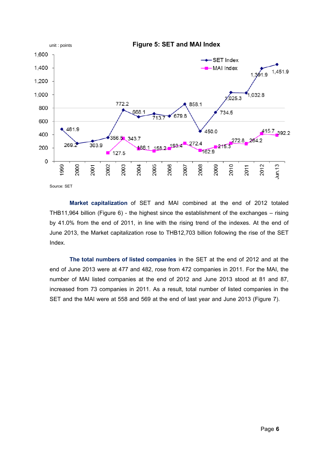

**Market capitalization** of SET and MAI combined at the end of 2012 totaled THB11,964 billion (Figure 6) - the highest since the establishment of the exchanges – rising by 41.0% from the end of 2011, in line with the rising trend of the indexes. At the end of June 2013, the Market capitalization rose to THB12,703 billion following the rise of the SET Index.

**The total numbers of listed companies** in the SET at the end of 2012 and at the end of June 2013 were at 477 and 482, rose from 472 companies in 2011. For the MAI, the number of MAI listed companies at the end of 2012 and June 2013 stood at 81 and 87, increased from 73 companies in 2011. As a result, total number of listed companies in the SET and the MAI were at 558 and 569 at the end of last year and June 2013 (Figure 7).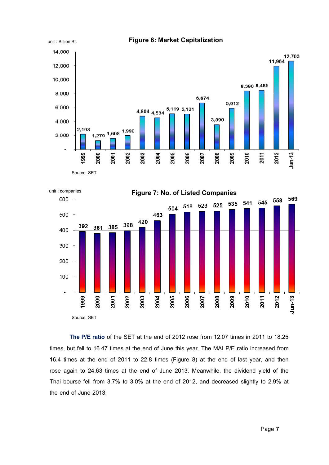



**The P/E ratio** of the SET at the end of 2012 rose from 12.07 times in 2011 to 18.25 times, but fell to 16.47 times at the end of June this year. The MAI P/E ratio increased from 16.4 times at the end of 2011 to 22.8 times (Figure 8) at the end of last year, and then rose again to 24.63 times at the end of June 2013. Meanwhile, the dividend yield of the Thai bourse fell from 3.7% to 3.0% at the end of 2012, and decreased slightly to 2.9% at the end of June 2013.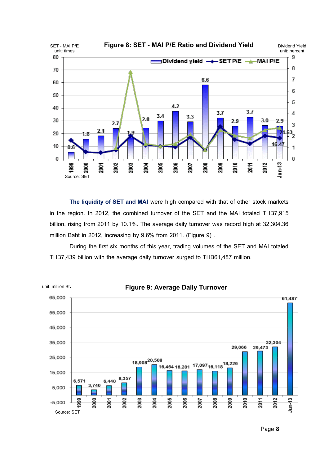

**The liquidity of SET and MAI** were high compared with that of other stock markets in the region. In 2012, the combined turnover of the SET and the MAI totaled THB7,915 billion, rising from 2011 by 10.1%. The average daily turnover was record high at 32,304.36 million Baht in 2012, increasing by 9.6% from 2011. (Figure 9) .

During the first six months of this year, trading volumes of the SET and MAI totaled THB7,439 billion with the average daily turnover surged to THB61,487 million.

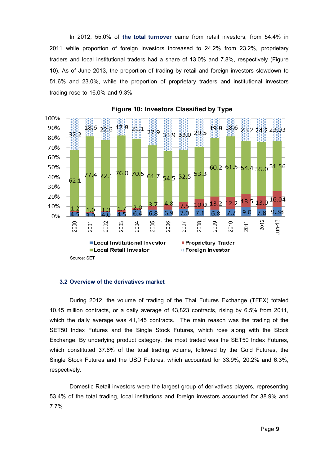In 2012, 55.0% of **the total turnover** came from retail investors, from 54.4% in 2011 while proportion of foreign investors increased to 24.2% from 23.2%, proprietary traders and local institutional traders had a share of 13.0% and 7.8%, respectively (Figure 10). As of June 2013, the proportion of trading by retail and foreign investors slowdown to 51.6% and 23.0%, while the proportion of proprietary traders and institutional investors trading rose to 16.0% and 9.3%.



**Figure 10: Investors Classified by Type**

#### **3.2 Overview of the derivatives market**

During 2012, the volume of trading of the Thai Futures Exchange (TFEX) totaled 10.45 million contracts, or a daily average of 43,823 contracts, rising by 6.5% from 2011, which the daily average was 41,145 contracts. The main reason was the trading of the SET50 Index Futures and the Single Stock Futures, which rose along with the Stock Exchange. By underlying product category, the most traded was the SET50 Index Futures, which constituted 37.6% of the total trading volume, followed by the Gold Futures, the Single Stock Futures and the USD Futures, which accounted for 33.9%, 20.2% and 6.3%, respectively.

Domestic Retail investors were the largest group of derivatives players, representing 53.4% of the total trading, local institutions and foreign investors accounted for 38.9% and 7.7%.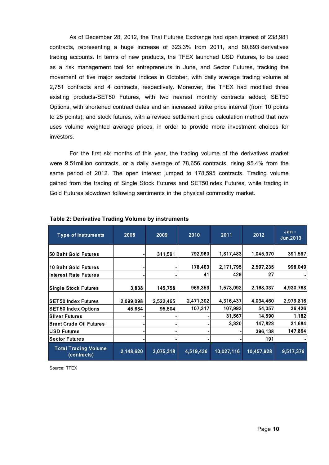As of December 28, 2012, the Thai Futures Exchange had open interest of 238,981 contracts, representing a huge increase of 323.3% from 2011, and 80,893 derivatives trading accounts. In terms of new products, the TFEX launched USD Futures, to be used as a risk management tool for entrepreneurs in June, and Sector Futures, tracking the movement of five major sectorial indices in October, with daily average trading volume at 2,751 contracts and 4 contracts, respectively. Moreover, the TFEX had modified three existing products-SET50 Futures, with two nearest monthly contracts added; SET50 Options, with shortened contract dates and an increased strike price interval (from 10 points to 25 points); and stock futures, with a revised settlement price calculation method that now uses volume weighted average prices, in order to provide more investment choices for investors.

For the first six months of this year, the trading volume of the derivatives market were 9.51million contracts, or a daily average of 78,656 contracts, rising 95.4% from the same period of 2012. The open interest jumped to 178,595 contracts. Trading volume gained from the trading of Single Stock Futures and SET50Index Futures, while trading in Gold Futures slowdown following sentiments in the physical commodity market.

| <b>Type of Instruments</b>                 | 2008      | 2009      | 2010      | 2011       | 2012       | Jan-<br>Jun.2013 |
|--------------------------------------------|-----------|-----------|-----------|------------|------------|------------------|
| 50 Baht Gold Futures                       |           | 311,591   | 792,960   | 1,817,483  | 1,045,370  | 391,587          |
| 10 Baht Gold Futures                       |           |           | 178,463   | 2,171,795  | 2,597,235  | 998,049          |
| Interest Rate Futures                      |           |           | 41        | 429        | 27         |                  |
| <b>Single Stock Futures</b>                | 3,838     | 145,758   | 969,353   | 1,578,092  | 2,168,037  | 4,930,768        |
| <b>SET50 Index Futures</b>                 | 2,099,098 | 2,522,465 | 2,471,302 | 4,316,437  | 4,034,460  | 2,979,816        |
| <b>SET50 Index Options</b>                 | 45,684    | 95,504    | 107,317   | 107,993    | 54,057     | 36,426           |
| <b>Silver Futures</b>                      |           |           |           | 31,567     | 14,590     | 1,182            |
| <b>Brent Crude Oil Futures</b>             |           |           |           | 3,320      | 147,823    | 31,684           |
| <b>USD Futures</b>                         |           |           |           |            | 396,138    | 147,864          |
| <b>Sector Futures</b>                      |           |           |           |            | 191        |                  |
| <b>Total Trading Volume</b><br>(contracts) | 2,148,620 | 3,075,318 | 4,519,436 | 10,027,116 | 10,457,928 | 9,517,376        |
| Source: TFEX                               |           |           |           |            |            |                  |
|                                            |           |           |           |            | Page 10    |                  |

#### **Table 2: Derivative Trading Volume by instruments**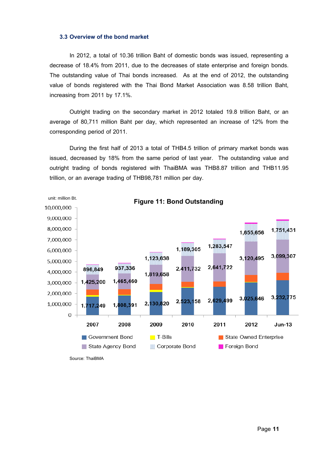#### **3.3 Overview of the bond market**

In 2012, a total of 10.36 trillion Baht of domestic bonds was issued, representing a decrease of 18.4% from 2011, due to the decreases of state enterprise and foreign bonds. The outstanding value of Thai bonds increased. As at the end of 2012, the outstanding value of bonds registered with the Thai Bond Market Association was 8.58 trillion Baht, increasing from 2011 by 17.1%.

Outright trading on the secondary market in 2012 totaled 19.8 trillion Baht, or an average of 80,711 million Baht per day, which represented an increase of 12% from the corresponding period of 2011.

During the first half of 2013 a total of THB4.5 trillion of primary market bonds was issued, decreased by 18% from the same period of last year. The outstanding value and outright trading of bonds registered with ThaiBMA was THB8.87 trillion and THB11.95 trillion, or an average trading of THB98,781 million per day.



Source: ThaiBMA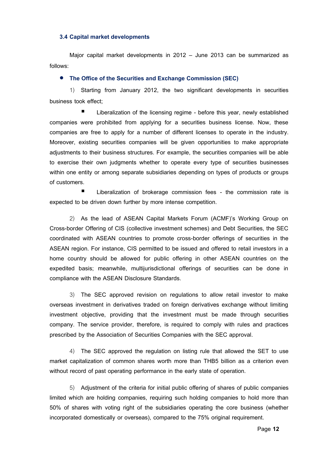#### **3.4 Capital market developments**

Major capital market developments in 2012 – June 2013 can be summarized as follows:

#### **The Office of the Securities and Exchange Commission (SEC)**

1) Starting from January 2012, the two significant developments in securities business took effect;

 Liberalization of the licensing regime - before this year, newly established companies were prohibited from applying for a securities business license. Now, these companies are free to apply for a number of different licenses to operate in the industry. Moreover, existing securities companies will be given opportunities to make appropriate adjustments to their business structures. For example, the securities companies will be able to exercise their own judgments whether to operate every type of securities businesses within one entity or among separate subsidiaries depending on types of products or groups of customers.

 Liberalization of brokerage commission fees - the commission rate is expected to be driven down further by more intense competition.

2) As the lead of ASEAN Capital Markets Forum (ACMF)'s Working Group on Cross-border Offering of CIS (collective investment schemes) and Debt Securities, the SEC coordinated with ASEAN countries to promote cross-border offerings of securities in the ASEAN region. For instance, CIS permitted to be issued and offered to retail investors in a home country should be allowed for public offering in other ASEAN countries on the expedited basis; meanwhile, multijurisdictional offerings of securities can be done in compliance with the ASEAN Disclosure Standards.

3) The SEC approved revision on regulations to allow retail investor to make overseas investment in derivatives traded on foreign derivatives exchange without limiting investment objective, providing that the investment must be made through securities company. The service provider, therefore, is required to comply with rules and practices prescribed by the Association of Securities Companies with the SEC approval.

4) The SEC approved the regulation on listing rule that allowed the SET to use market capitalization of common shares worth more than THB5 billion as a criterion even without record of past operating performance in the early state of operation.

5) Adjustment of the criteria for initial public offering of shares of public companies limited which are holding companies, requiring such holding companies to hold more than 50% of shares with voting right of the subsidiaries operating the core business (whether incorporated domestically or overseas), compared to the 75% original requirement.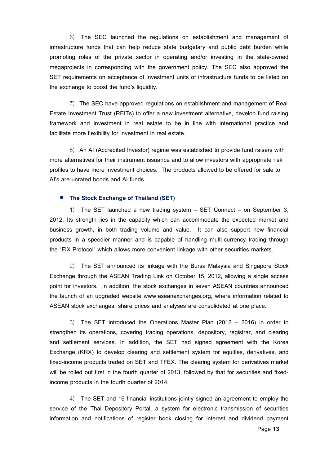6) The SEC launched the regulations on establishment and management of infrastructure funds that can help reduce state budgetary and public debt burden while promoting roles of the private sector in operating and/or investing in the state-owned megaprojects in corresponding with the government policy. The SEC also approved the SET requirements on acceptance of investment units of infrastructure funds to be listed on the exchange to boost the fund's liquidity.

7) The SEC have approved regulations on establishment and management of Real Estate Investment Trust (REITs) to offer a new investment alternative, develop fund raising framework and investment in real estate to be in line with international practice and facilitate more flexibility for investment in real estate.

8) An AI (Accredited Investor) regime was established to provide fund raisers with more alternatives for their instrument issuance and to allow investors with appropriate risk profiles to have more investment choices. The products allowed to be offered for sale to AI's are unrated bonds and AI funds.

#### **The Stock Exchange of Thailand (SET)**

1) The SET launched a new trading system – SET Connect – on September 3, 2012. Its strength lies in the capacity which can accommodate the expected market and business growth, in both trading volume and value. It can also support new financial products in a speedier manner and is capable of handling multi-currency trading through the "FIX Protocol" which allows more convenient linkage with other securities markets.

2) The SET announced its linkage with the Bursa Malaysia and Singapore Stock Exchange through the ASEAN Trading Link on October 15, 2012, allowing a single access point for investors. In addition, the stock exchanges in seven ASEAN countries announced the launch of an upgraded website www.aseanexchanges.org, where information related to ASEAN stock exchanges, share prices and analyses are consolidated at one place.

3) The SET introduced the Operations Master Plan (2012 – 2016) in order to strengthen its operations, covering trading operations, depository, registrar, and clearing and settlement services. In addition, the SET had signed agreement with the Korea Exchange (KRX) to develop clearing and settlement system for equities, derivatives, and fixed-income products traded on SET and TFEX. The clearing system for derivatives market will be rolled out first in the fourth quarter of 2013, followed by that for securities and fixedincome products in the fourth quarter of 2014.

4) The SET and 16 financial institutions jointly signed an agreement to employ the service of the Thai Depository Portal, a system for electronic transmission of securities information and notifications of register book closing for interest and dividend payment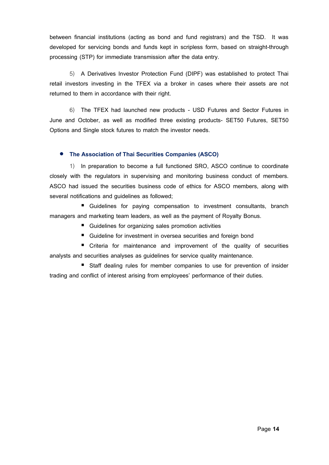between financial institutions (acting as bond and fund registrars) and the TSD. It was developed for servicing bonds and funds kept in scripless form, based on straight-through processing (STP) for immediate transmission after the data entry.

5) A Derivatives Investor Protection Fund (DIPF) was established to protect Thai retail investors investing in the TFEX via a broker in cases where their assets are not returned to them in accordance with their right.

6) The TFEX had launched new products - USD Futures and Sector Futures in June and October, as well as modified three existing products- SET50 Futures, SET50 Options and Single stock futures to match the investor needs.

# **The Association of Thai Securities Companies (ASCO)**

1) In preparation to become a full functioned SRO, ASCO continue to coordinate closely with the regulators in supervising and monitoring business conduct of members. ASCO had issued the securities business code of ethics for ASCO members, along with several notifications and guidelines as followed;

 Guidelines for paying compensation to investment consultants, branch managers and marketing team leaders, as well as the payment of Royalty Bonus.

- Guidelines for organizing sales promotion activities
- Guideline for investment in oversea securities and foreign bond

**•** Criteria for maintenance and improvement of the quality of securities analysts and securities analyses as guidelines for service quality maintenance.

■ Staff dealing rules for member companies to use for prevention of insider trading and conflict of interest arising from employees' performance of their duties.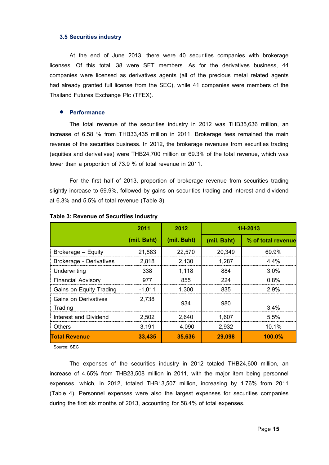#### **3.5 Securities industry**

At the end of June 2013, there were 40 securities companies with brokerage licenses. Of this total, 38 were SET members. As for the derivatives business, 44 companies were licensed as derivatives agents (all of the precious metal related agents had already granted full license from the SEC), while 41 companies were members of the Thailand Futures Exchange Plc (TFEX).

#### **Performance**

The total revenue of the securities industry in 2012 was THB35,636 million, an increase of 6.58 % from THB33,435 million in 2011. Brokerage fees remained the main revenue of the securities business. In 2012, the brokerage revenues from securities trading (equities and derivatives) were THB24,700 million or 69.3% of the total revenue, which was lower than a proportion of 73.9 % of total revenue in 2011.

For the first half of 2013, proportion of brokerage revenue from securities trading slightly increase to 69.9%, followed by gains on securities trading and interest and dividend at 6.3% and 5.5% of total revenue (Table 3).

|                                 | 2011        | 2012        | 1H-2013     |                    |
|---------------------------------|-------------|-------------|-------------|--------------------|
|                                 | (mil. Baht) | (mil. Baht) | (mil. Baht) | % of total revenue |
| Brokerage - Equity              | 21,883      | 22,570      | 20,349      | 69.9%              |
| <b>Brokerage - Derivatives</b>  | 2,818       | 2,130       | 1,287       | 4.4%               |
| Underwriting                    | 338         | 1,118       | 884         | $3.0\%$            |
| <b>Financial Advisory</b>       | 977         | 855         | 224         | $0.8\%$            |
| Gains on Equity Trading         | $-1,011$    | 1,300       | 835         | 2.9%               |
| Gains on Derivatives<br>Trading | 2,738       | 934         | 980         | 3.4%               |
| <b>Interest and Dividend</b>    | 2,502       | 2.640       | 1.607       | 5.5%               |
| <b>Others</b>                   | 3,191       | 4,090       | 2,932       | 10.1%              |
| <b>Total Revenue</b>            | 33,435      | 35,636      | 29,098      | <b>100.0%</b>      |

**Table 3: Revenue of Securities Industry**

Source: SEC

The expenses of the securities industry in 2012 totaled THB24,600 million, an increase of 4.65% from THB23,508 million in 2011, with the major item being personnel expenses, which, in 2012, totaled THB13,507 million, increasing by 1.76% from 2011 (Table 4). Personnel expenses were also the largest expenses for securities companies during the first six months of 2013, accounting for 58.4% of total expenses.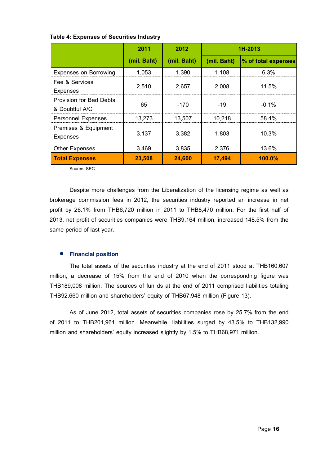|                                                  | 2011        | 2012        | 1H-2013     |                     |
|--------------------------------------------------|-------------|-------------|-------------|---------------------|
|                                                  | (mil. Baht) | (mil. Baht) | (mil. Baht) | % of total expenses |
| <b>Expenses on Borrowing</b>                     | 1,053       | 1,390       | 1,108       | 6.3%                |
| Fee & Services<br><b>Expenses</b>                | 2,510       | 2,657       | 2,008       | 11.5%               |
| <b>Provision for Bad Debts</b><br>& Doubtful A/C | 65          | $-170$      | -19         | $-0.1\%$            |
| <b>Personnel Expenses</b>                        | 13,273      | 13,507      | 10,218      | 58.4%               |
| Premises & Equipment<br><b>Expenses</b>          | 3,137       | 3,382       | 1,803       | 10.3%               |
| <b>Other Expenses</b>                            | 3,469       | 3,835       | 2,376       | 13.6%               |
| <b>Total Expenses</b>                            | 23,508      | 24,600      | 17,494      | <b>100.0%</b>       |

|  | Table 4: Expenses of Securities Industry |  |
|--|------------------------------------------|--|
|  |                                          |  |

Source: SEC

Despite more challenges from the Liberalization of the licensing regime as well as brokerage commission fees in 2012, the securities industry reported an increase in net profit by 26.1% from THB6,720 million in 2011 to THB8,470 million. For the first half of 2013, net profit of securities companies were THB9,164 million, increased 148.5% from the same period of last year.

#### **Financial position**

The total assets of the securities industry at the end of 2011 stood at THB160,607 million, a decrease of 15% from the end of 2010 when the corresponding figure was THB189,008 million. The sources of fun ds at the end of 2011 comprised liabilities totaling THB92,660 million and shareholders' equity of THB67,948 million (Figure 13).

As of June 2012, total assets of securities companies rose by 25.7% from the end of 2011 to THB201,961 million. Meanwhile, liabilities surged by 43.5% to THB132,990 million and shareholders' equity increased slightly by 1.5% to THB68,971 million.